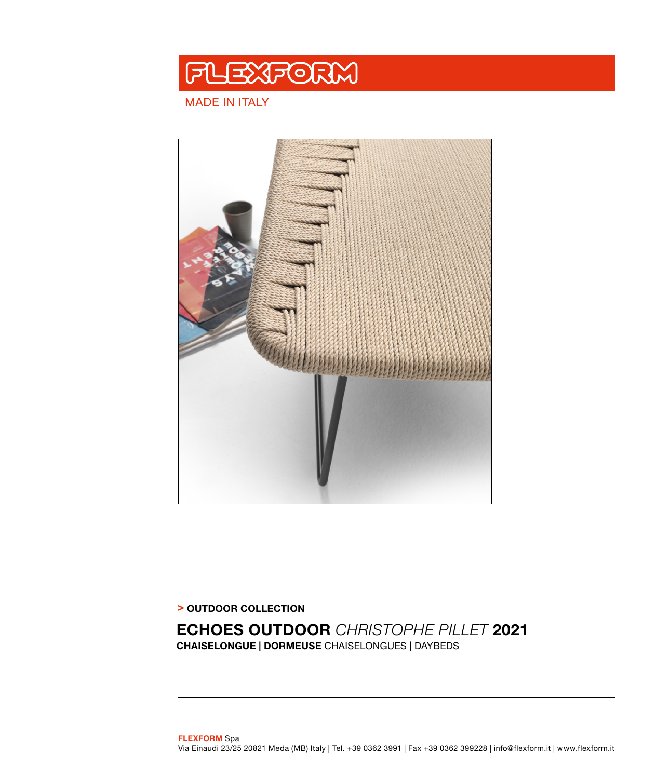FLEXFORM

**MADE IN ITALY** 



**> OUTDOOR COLLECTION**

**ECHOES OUTDOOR** *CHRISTOPHE PILLET* **2021 CHAISELONGUE | DORMEUSE** CHAISELONGUES | DAYBEDS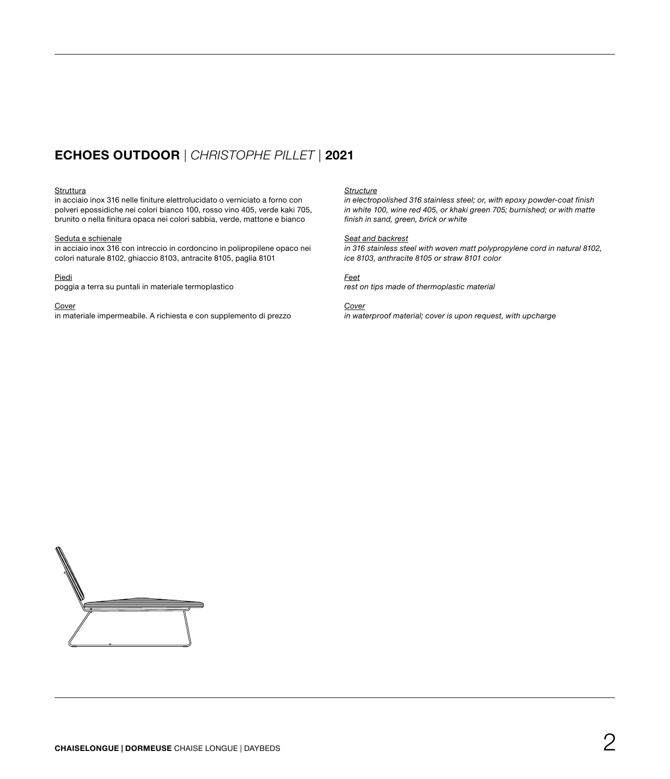# **ECHOES OUTDOOR** *| CHRISTOPHE PILLET |* **2021**

# **Struttura**

in acciaio inox 316 nelle finiture elettrolucidato o verniciato a forno con polveri epossidiche nei colori bianco 100, rosso vino 405, verde kaki 705, brunito o nella finitura opaca nei colori sabbia, verde, mattone e bianco

## Seduta e schienale

in acciaio inox 316 con intreccio in cordoncino in polipropilene opaco nei colori naturale 8102, ghiaccio 8103, antracite 8105, paglia 8101

#### Piedi

poggia a terra su puntali in materiale termoplastico

#### **Cover**

in materiale impermeabile. A richiesta e con supplemento di prezzo

#### *Structure*

*in electropolished 316 stainless steel; or, with epoxy powder-coat finish in white 100, wine red 405, or khaki green 705; burnished; or with matte finish in sand, green, brick or white*

#### *Seat and backrest*

*in 316 stainless steel with woven matt polypropylene cord in natural 8102, ice 8103, anthracite 8105 or straw 8101 color*

## *Feet*

*rest on tips made of thermoplastic material*

#### *Cover*

*in waterproof material; cover is upon request, with upcharge*

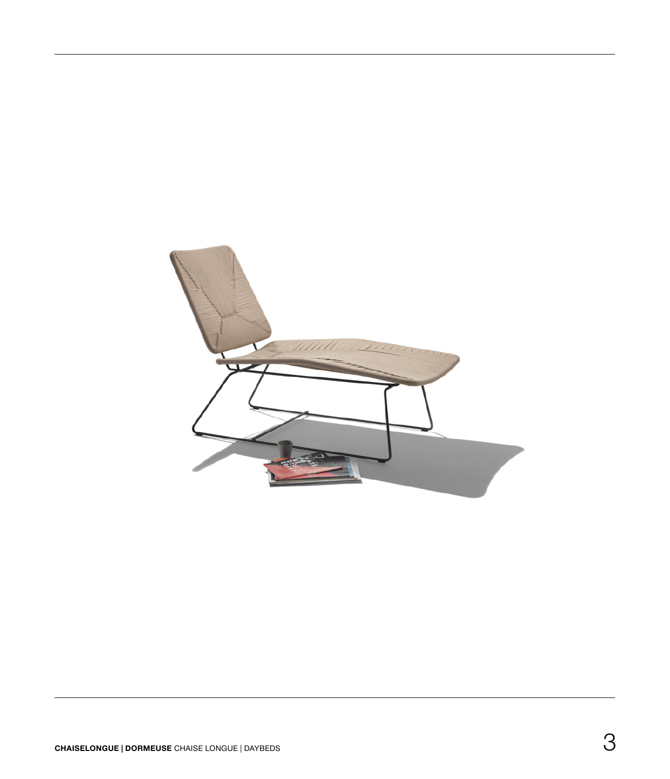